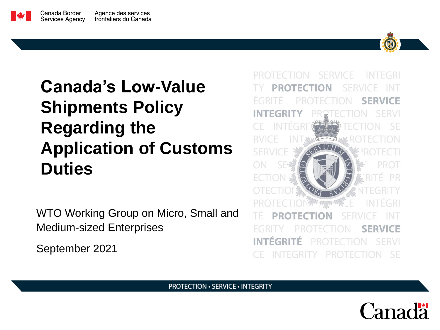# **Canada's Low-Value Shipments Policy Regarding the Application of Customs Duties**

WTO Working Group on Micro, Small and Medium-sized Enterprises

September 2021



SERVICE **INTEGRI SERVICE SERVIC INTEGRI** p **SERVICE INTÉGRITÉ** FRVI SF PROTECTION.

**PROTECTION · SERVICE · INTEGRITY** 

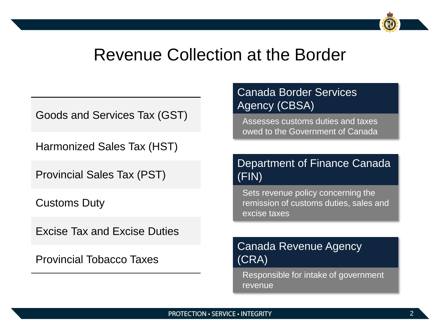## Revenue Collection at the Border

Goods and Services Tax (GST)

Harmonized Sales Tax (HST)

Provincial Sales Tax (PST)

Customs Duty

Excise Tax and Excise Duties

Provincial Tobacco Taxes

#### Canada Border Services Agency (CBSA)

Assesses customs duties and taxes owed to the Government of Canada

#### Department of Finance Canada (FIN)

Sets revenue policy concerning the remission of customs duties, sales and excise taxes

#### Canada Revenue Agency (CRA)

Responsible for intake of government revenue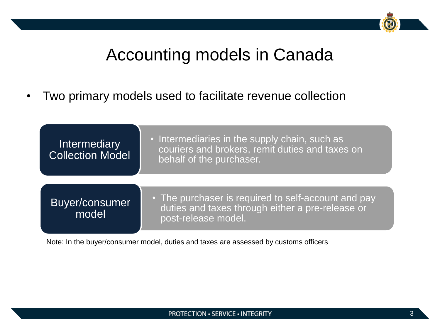# Accounting models in Canada

• Two primary models used to facilitate revenue collection

| <b>Intermediary</b><br><b>Collection Model</b> | . Intermediaries in the supply chain, such as<br>couriers and brokers, remit duties and taxes on<br>behalf of the purchaser.   |
|------------------------------------------------|--------------------------------------------------------------------------------------------------------------------------------|
| Buyer/consumer<br>model                        | • The purchaser is required to self-account and pay<br>duties and taxes through either a pre-release or<br>post-release model. |

Note: In the buyer/consumer model, duties and taxes are assessed by customs officers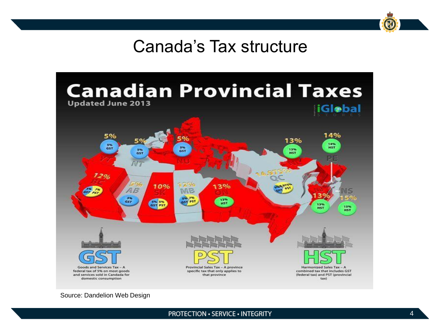# Canada's Tax structure



Source: Dandelion Web Design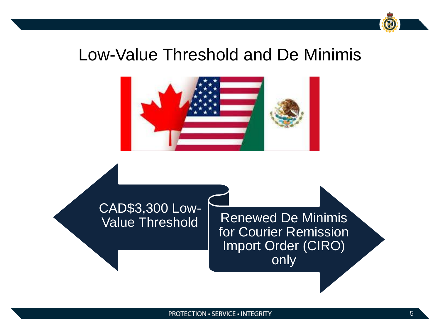# Low-Value Threshold and De Minimis



# CAD\$3,300 Low-

**Renewed De Minimis** for Courier Remission Import Order (CIRO) only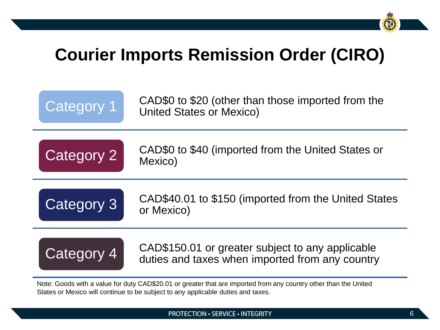# **Courier Imports Remission Order (CIRO)**



Note: Goods with a value for duty CAD\$20.01 or greater that are imported from any country other than the United States or Mexico will continue to be subject to any applicable duties and taxes.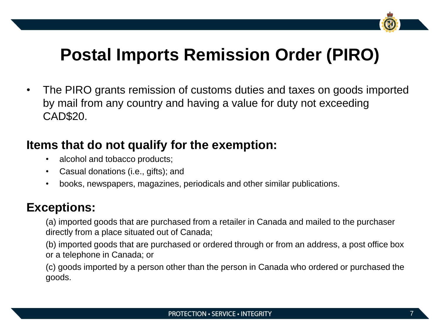

# **Postal Imports Remission Order (PIRO)**

• The PIRO grants remission of customs duties and taxes on goods imported by mail from any country and having a value for duty not exceeding CAD\$20.

### **Items that do not qualify for the exemption:**

- alcohol and tobacco products;
- Casual donations (i.e., gifts); and
- books, newspapers, magazines, periodicals and other similar publications.

### **Exceptions:**

(a) imported goods that are purchased from a retailer in Canada and mailed to the purchaser directly from a place situated out of Canada;

(b) imported goods that are purchased or ordered through or from an address, a post office box or a telephone in Canada; or

(c) goods imported by a person other than the person in Canada who ordered or purchased the goods.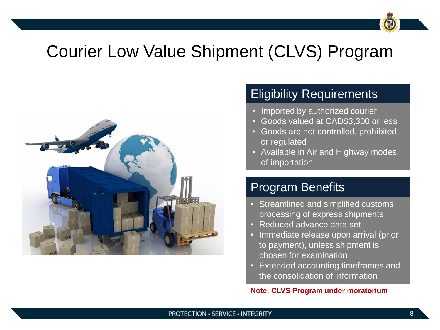# Courier Low Value Shipment (CLVS) Program



### Eligibility Requirements

- Imported by authorized courier
- Goods valued at CAD\$3,300 or less
- Goods are not controlled, prohibited or regulated
- Available in Air and Highway modes of importation

### Program Benefits

- Streamlined and simplified customs processing of express shipments
- Reduced advance data set
- Immediate release upon arrival (prior to payment), unless shipment is chosen for examination
- Extended accounting timeframes and the consolidation of information

**Note: CLVS Program under moratorium**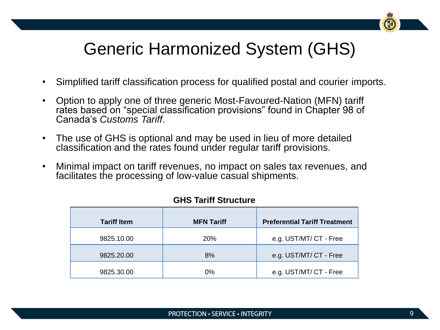# Generic Harmonized System (GHS)

- Simplified tariff classification process for qualified postal and courier imports.
- Option to apply one of three generic Most-Favoured-Nation (MFN) tariff rates based on "special classification provisions" found in Chapter 98 of Canada's *Customs Tariff*.
- The use of GHS is optional and may be used in lieu of more detailed classification and the rates found under regular tariff provisions.
- Minimal impact on tariff revenues, no impact on sales tax revenues, and facilitates the processing of low-value casual shipments.

| <b>Tariff Item</b> | <b>MFN Tariff</b> | <b>Preferential Tariff Treatment</b> |
|--------------------|-------------------|--------------------------------------|
| 9825.10.00         | <b>20%</b>        | e.g. UST/MT/ CT - Free               |
| 9825.20.00         | 8%                | e.g. UST/MT/ CT - Free               |
| 9825.30.00         | $0\%$             | e.g. UST/MT/ CT - Free               |

#### **GHS Tariff Structure**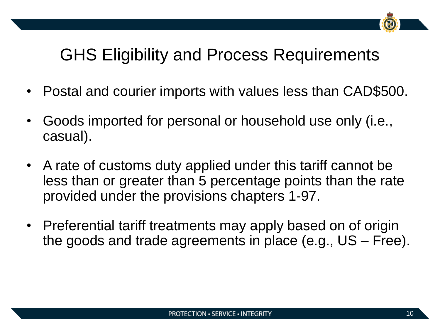# GHS Eligibility and Process Requirements

- Postal and courier imports with values less than CAD\$500.
- Goods imported for personal or household use only (i.e., casual).
- A rate of customs duty applied under this tariff cannot be less than or greater than 5 percentage points than the rate provided under the provisions chapters 1-97.
- Preferential tariff treatments may apply based on of origin the goods and trade agreements in place (e.g., US – Free).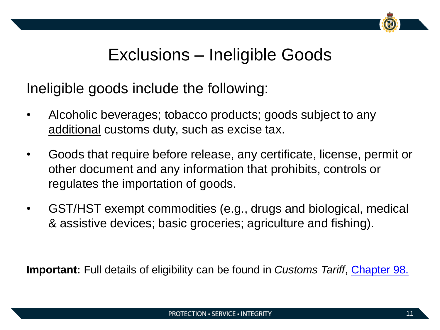# Exclusions – Ineligible Goods

Ineligible goods include the following:

- Alcoholic beverages; tobacco products; goods subject to any additional customs duty, such as excise tax.
- Goods that require before release, any certificate, license, permit or other document and any information that prohibits, controls or regulates the importation of goods.
- GST/HST exempt commodities (e.g., drugs and biological, medical & assistive devices; basic groceries; agriculture and fishing).

**Important:** Full details of eligibility can be found in *Customs Tariff*, [Chapter 98.](https://www.cbsa-asfc.gc.ca/trade-commerce/tariff-tarif/2021/html/03/ch98-eng.html)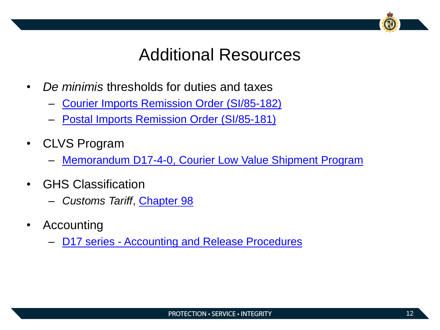# Additional Resources

- *De minimis* thresholds for duties and taxes
	- [Courier Imports Remission Order](https://laws-lois.justice.gc.ca/eng/regulations/SI-85-182/FullText.html) (SI/85-182)
	- [Postal Imports Remission Order](https://laws-lois.justice.gc.ca/eng/regulations/SI-85-181/FullText.html) (SI/85-181)
- CLVS Program
	- [Memorandum D17-4-0, Courier Low Value Shipment Program](https://www.cbsa-asfc.gc.ca/publications/dm-md/d17/d17-4-0-eng.html)
- GHS Classification
	- *Customs Tariff*, [Chapter 98](https://www.cbsa-asfc.gc.ca/trade-commerce/tariff-tarif/2021/html/03/ch98-eng.html)
- Accounting
	- **D17 series [Accounting and Release Procedures](https://www.cbsa-asfc.gc.ca/publications/dm-md/d17-eng.html)**